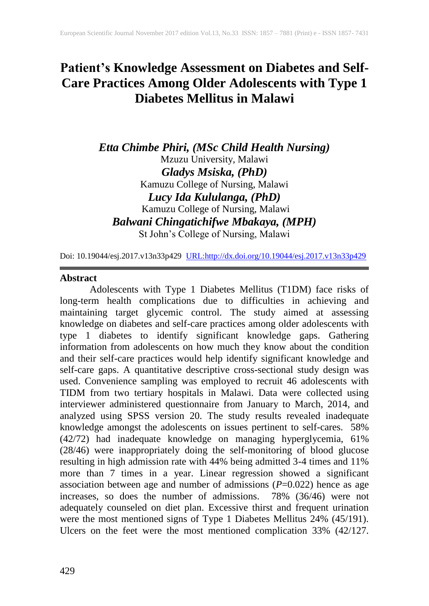# **Patient's Knowledge Assessment on Diabetes and Self-Care Practices Among Older Adolescents with Type 1 Diabetes Mellitus in Malawi**

*Etta Chimbe Phiri, (MSc Child Health Nursing)*  Mzuzu University, Malawi *Gladys Msiska, (PhD)*  Kamuzu College of Nursing, Malawi *Lucy Ida Kululanga, (PhD)* Kamuzu College of Nursing, Malawi *Balwani Chingatichifwe Mbakaya, (MPH)*  St John's College of Nursing, Malawi

Doi: 10.19044/esj.2017.v13n33p429 [URL:http://dx.doi.org/10.19044/esj.2017.v13n33p429](http://dx.doi.org/10.19044/esj.2017.v13n33p429)

# **Abstract**

Adolescents with Type 1 Diabetes Mellitus (T1DM) face risks of long-term health complications due to difficulties in achieving and maintaining target glycemic control. The study aimed at assessing knowledge on diabetes and self-care practices among older adolescents with type 1 diabetes to identify significant knowledge gaps. Gathering information from adolescents on how much they know about the condition and their self-care practices would help identify significant knowledge and self-care gaps. A quantitative descriptive cross-sectional study design was used. Convenience sampling was employed to recruit 46 adolescents with TIDM from two tertiary hospitals in Malawi. Data were collected using interviewer administered questionnaire from January to March, 2014, and analyzed using SPSS version 20. The study results revealed inadequate knowledge amongst the adolescents on issues pertinent to self-cares. 58% (42/72) had inadequate knowledge on managing hyperglycemia, 61% (28/46) were inappropriately doing the self-monitoring of blood glucose resulting in high admission rate with 44% being admitted 3-4 times and 11% more than 7 times in a year. Linear regression showed a significant association between age and number of admissions (*P*=0.022) hence as age increases, so does the number of admissions. 78% (36/46) were not adequately counseled on diet plan. Excessive thirst and frequent urination were the most mentioned signs of Type 1 Diabetes Mellitus 24% (45/191). Ulcers on the feet were the most mentioned complication 33% (42/127.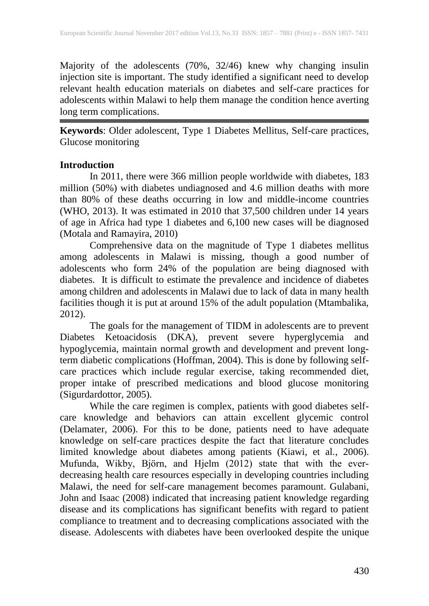Majority of the adolescents (70%, 32/46) knew why changing insulin injection site is important. The study identified a significant need to develop relevant health education materials on diabetes and self-care practices for adolescents within Malawi to help them manage the condition hence averting long term complications.

**Keywords**: Older adolescent, Type 1 Diabetes Mellitus, Self-care practices, Glucose monitoring

# **Introduction**

In 2011, there were 366 million people worldwide with diabetes, 183 million (50%) with diabetes undiagnosed and 4.6 million deaths with more than 80% of these deaths occurring in low and middle-income countries (WHO, 2013). It was estimated in 2010 that 37,500 children under 14 years of age in Africa had type 1 diabetes and 6,100 new cases will be diagnosed (Motala and Ramayira, 2010)

Comprehensive data on the magnitude of Type 1 diabetes mellitus among adolescents in Malawi is missing, though a good number of adolescents who form 24% of the population are being diagnosed with diabetes. It is difficult to estimate the prevalence and incidence of diabetes among children and adolescents in Malawi due to lack of data in many health facilities though it is put at around 15% of the adult population (Mtambalika, 2012).

The goals for the management of TIDM in adolescents are to prevent Diabetes Ketoacidosis (DKA), prevent severe hyperglycemia and hypoglycemia, maintain normal growth and development and prevent longterm diabetic complications (Hoffman, 2004). This is done by following selfcare practices which include regular exercise, taking recommended diet, proper intake of prescribed medications and blood glucose monitoring (Sigurdardottor, 2005).

While the care regimen is complex, patients with good diabetes selfcare knowledge and behaviors can attain excellent glycemic control (Delamater, 2006). For this to be done, patients need to have adequate knowledge on self-care practices despite the fact that literature concludes limited knowledge about diabetes among patients (Kiawi, et al., 2006). Mufunda, Wikby, Björn, and Hjelm (2012) state that with the everdecreasing health care resources especially in developing countries including Malawi, the need for self-care management becomes paramount. Gulabani, John and Isaac (2008) indicated that increasing patient knowledge regarding disease and its complications has significant benefits with regard to patient compliance to treatment and to decreasing complications associated with the disease. Adolescents with diabetes have been overlooked despite the unique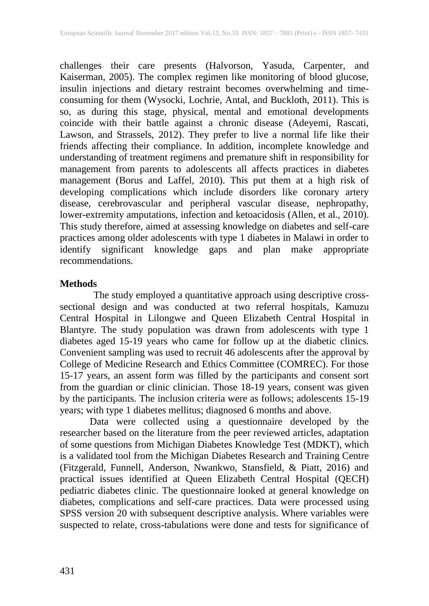challenges their care presents (Halvorson, Yasuda, Carpenter, and Kaiserman, 2005). The complex regimen like monitoring of blood glucose, insulin injections and dietary restraint becomes overwhelming and timeconsuming for them (Wysocki, Lochrie, Antal, and Buckloth, 2011). This is so, as during this stage, physical, mental and emotional developments coincide with their battle against a chronic disease (Adeyemi, Rascati, Lawson, and Strassels, 2012). They prefer to live a normal life like their friends affecting their compliance. In addition, incomplete knowledge and understanding of treatment regimens and premature shift in responsibility for management from parents to adolescents all affects practices in diabetes management (Borus and Laffel, 2010). This put them at a high risk of developing complications which include disorders like coronary artery disease, cerebrovascular and peripheral vascular disease, nephropathy, lower-extremity amputations, infection and ketoacidosis (Allen, et al., 2010). This study therefore, aimed at assessing knowledge on diabetes and self-care practices among older adolescents with type 1 diabetes in Malawi in order to identify significant knowledge gaps and plan make appropriate recommendations.

# **Methods**

The study employed a quantitative approach using descriptive crosssectional design and was conducted at two referral hospitals, Kamuzu Central Hospital in Lilongwe and Queen Elizabeth Central Hospital in Blantyre. The study population was drawn from adolescents with type 1 diabetes aged 15-19 years who came for follow up at the diabetic clinics. Convenient sampling was used to recruit 46 adolescents after the approval by College of Medicine Research and Ethics Committee (COMREC). For those 15-17 years, an assent form was filled by the participants and consent sort from the guardian or clinic clinician. Those 18-19 years, consent was given by the participants. The inclusion criteria were as follows; adolescents 15-19 years; with type 1 diabetes mellitus; diagnosed 6 months and above.

Data were collected using a questionnaire developed by the researcher based on the literature from the peer reviewed articles, adaptation of some questions from Michigan Diabetes Knowledge Test (MDKT), which is a validated tool from the Michigan Diabetes Research and Training Centre (Fitzgerald, Funnell, Anderson, Nwankwo, Stansfield, & Piatt, 2016) and practical issues identified at Queen Elizabeth Central Hospital (QECH) pediatric diabetes clinic. The questionnaire looked at general knowledge on diabetes, complications and self-care practices. Data were processed using SPSS version 20 with subsequent descriptive analysis. Where variables were suspected to relate, cross-tabulations were done and tests for significance of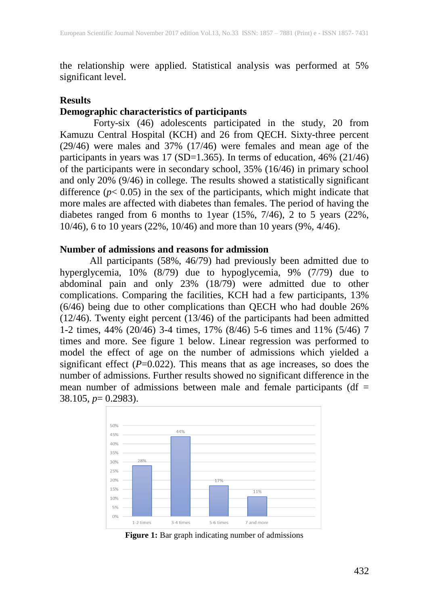the relationship were applied. Statistical analysis was performed at 5% significant level.

# **Results**

# **Demographic characteristics of participants**

Forty-six (46) adolescents participated in the study, 20 from Kamuzu Central Hospital (KCH) and 26 from QECH. Sixty-three percent (29/46) were males and 37% (17/46) were females and mean age of the participants in years was 17 (SD=1.365). In terms of education, 46% (21/46) of the participants were in secondary school, 35% (16/46) in primary school and only 20% (9/46) in college. The results showed a statistically significant difference  $(p < 0.05)$  in the sex of the participants, which might indicate that more males are affected with diabetes than females. The period of having the diabetes ranged from 6 months to 1year  $(15\%, 7/46)$ , 2 to 5 years  $(22\%,$ 10/46), 6 to 10 years (22%, 10/46) and more than 10 years (9%, 4/46).

# **Number of admissions and reasons for admission**

All participants (58%, 46/79) had previously been admitted due to hyperglycemia, 10% (8/79) due to hypoglycemia, 9% (7/79) due to abdominal pain and only 23% (18/79) were admitted due to other complications. Comparing the facilities, KCH had a few participants, 13% (6/46) being due to other complications than QECH who had double 26% (12/46). Twenty eight percent (13/46) of the participants had been admitted 1-2 times, 44% (20/46) 3-4 times, 17% (8/46) 5-6 times and 11% (5/46) 7 times and more. See figure 1 below. Linear regression was performed to model the effect of age on the number of admissions which yielded a significant effect  $(P=0.022)$ . This means that as age increases, so does the number of admissions. Further results showed no significant difference in the mean number of admissions between male and female participants ( $df =$ 38.105, *p*= 0.2983).



**Figure 1:** Bar graph indicating number of admissions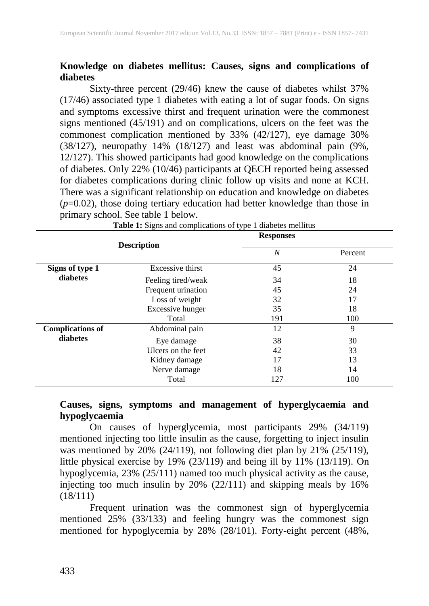# **Knowledge on diabetes mellitus: Causes, signs and complications of diabetes**

Sixty-three percent (29/46) knew the cause of diabetes whilst 37% (17/46) associated type 1 diabetes with eating a lot of sugar foods. On signs and symptoms excessive thirst and frequent urination were the commonest signs mentioned (45/191) and on complications, ulcers on the feet was the commonest complication mentioned by 33% (42/127), eye damage 30% (38/127), neuropathy 14% (18/127) and least was abdominal pain (9%, 12/127). This showed participants had good knowledge on the complications of diabetes. Only 22% (10/46) participants at QECH reported being assessed for diabetes complications during clinic follow up visits and none at KCH. There was a significant relationship on education and knowledge on diabetes (*p*=0.02), those doing tertiary education had better knowledge than those in primary school. See table 1 below.

|                             | ັ                  | ╯▴<br><b>Responses</b> |         |
|-----------------------------|--------------------|------------------------|---------|
|                             | <b>Description</b> | $\overline{N}$         | Percent |
| Signs of type 1<br>diabetes | Excessive thirst   | 45                     | 24      |
|                             | Feeling tired/weak | 34                     | 18      |
|                             | Frequent urination | 45                     | 24      |
|                             | Loss of weight     | 32                     | 17      |
|                             | Excessive hunger   | 35                     | 18      |
|                             | Total              | 191                    | 100     |
| <b>Complications of</b>     | Abdominal pain     | 12                     | 9       |
| diabetes                    | Eye damage         | 38                     | 30      |
|                             | Ulcers on the feet | 42                     | 33      |
|                             | Kidney damage      | 17                     | 13      |
|                             | Nerve damage       | 18                     | 14      |
|                             | Total              | 127                    | 100     |

**Table 1:** Signs and complications of type 1 diabetes mellitus

**Causes, signs, symptoms and management of hyperglycaemia and hypoglycaemia** 

On causes of hyperglycemia, most participants 29% (34/119) mentioned injecting too little insulin as the cause, forgetting to inject insulin was mentioned by 20% (24/119), not following diet plan by 21% (25/119), little physical exercise by 19% (23/119) and being ill by 11% (13/119). On hypoglycemia, 23% (25/111) named too much physical activity as the cause, injecting too much insulin by 20% (22/111) and skipping meals by 16% (18/111)

Frequent urination was the commonest sign of hyperglycemia mentioned 25% (33/133) and feeling hungry was the commonest sign mentioned for hypoglycemia by 28% (28/101). Forty-eight percent (48%,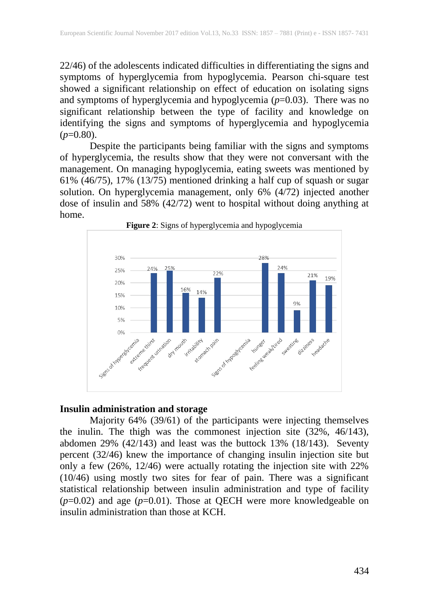22/46) of the adolescents indicated difficulties in differentiating the signs and symptoms of hyperglycemia from hypoglycemia. Pearson chi-square test showed a significant relationship on effect of education on isolating signs and symptoms of hyperglycemia and hypoglycemia (*p*=0.03). There was no significant relationship between the type of facility and knowledge on identifying the signs and symptoms of hyperglycemia and hypoglycemia (*p*=0.80).

Despite the participants being familiar with the signs and symptoms of hyperglycemia, the results show that they were not conversant with the management. On managing hypoglycemia, eating sweets was mentioned by 61% (46/75), 17% (13/75) mentioned drinking a half cup of squash or sugar solution. On hyperglycemia management, only 6% (4/72) injected another dose of insulin and 58% (42/72) went to hospital without doing anything at home.



**Figure 2**: Signs of hyperglycemia and hypoglycemia

#### **Insulin administration and storage**

Majority 64% (39/61) of the participants were injecting themselves the inulin. The thigh was the commonest injection site (32%, 46/143), abdomen 29% (42/143) and least was the buttock 13% (18/143). Seventy percent (32/46) knew the importance of changing insulin injection site but only a few (26%, 12/46) were actually rotating the injection site with 22% (10/46) using mostly two sites for fear of pain. There was a significant statistical relationship between insulin administration and type of facility  $(p=0.02)$  and age  $(p=0.01)$ . Those at QECH were more knowledgeable on insulin administration than those at KCH.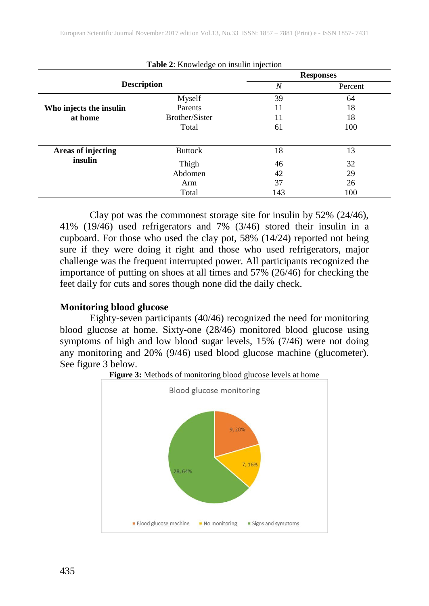|                         |                       | <b>Responses</b> |         |  |
|-------------------------|-----------------------|------------------|---------|--|
| <b>Description</b>      |                       | $\boldsymbol{N}$ | Percent |  |
|                         | Myself                | 39               | 64      |  |
| Who injects the insulin | Parents               | 11               | 18      |  |
| at home                 | <b>Brother/Sister</b> | 11               | 18      |  |
|                         | Total                 | 61               | 100     |  |
| Areas of injecting      | <b>Buttock</b>        | 18               | 13      |  |
| insulin                 | Thigh                 | 46               | 32      |  |
|                         | Abdomen               | 42               | 29      |  |
|                         | Arm                   | 37               | 26      |  |
|                         | Total                 | 143              | 100     |  |

**Table 2**: Knowledge on insulin injection

Clay pot was the commonest storage site for insulin by 52% (24/46), 41% (19/46) used refrigerators and 7% (3/46) stored their insulin in a cupboard. For those who used the clay pot, 58% (14/24) reported not being sure if they were doing it right and those who used refrigerators, major challenge was the frequent interrupted power. All participants recognized the importance of putting on shoes at all times and 57% (26/46) for checking the feet daily for cuts and sores though none did the daily check.

#### **Monitoring blood glucose**

Eighty-seven participants (40/46) recognized the need for monitoring blood glucose at home. Sixty-one (28/46) monitored blood glucose using symptoms of high and low blood sugar levels, 15% (7/46) were not doing any monitoring and 20% (9/46) used blood glucose machine (glucometer). See figure 3 below.



**Figure 3:** Methods of monitoring blood glucose levels at home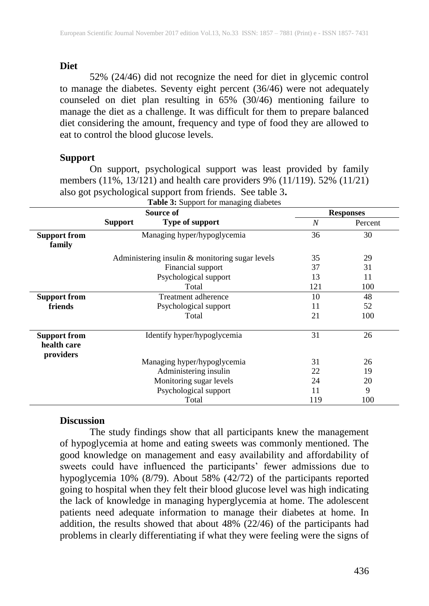#### **Diet**

52% (24/46) did not recognize the need for diet in glycemic control to manage the diabetes. Seventy eight percent (36/46) were not adequately counseled on diet plan resulting in 65% (30/46) mentioning failure to manage the diet as a challenge. It was difficult for them to prepare balanced diet considering the amount, frequency and type of food they are allowed to eat to control the blood glucose levels.

# **Support**

On support, psychological support was least provided by family members (11%, 13/121) and health care providers 9% (11/119). 52% (11/21) also got psychological support from friends. See table 3**.**

|                                                 |                             | Source of                                       | <b>Responses</b> |         |
|-------------------------------------------------|-----------------------------|-------------------------------------------------|------------------|---------|
|                                                 | <b>Support</b>              | Type of support                                 | N                | Percent |
| <b>Support from</b><br>family                   |                             | Managing hyper/hypoglycemia                     |                  | 30      |
|                                                 |                             | Administering insulin & monitoring sugar levels | 35               | 29      |
|                                                 |                             | Financial support                               | 37               | 31      |
|                                                 |                             | Psychological support                           | 13               | 11      |
|                                                 |                             | Total                                           | 121              | 100     |
| <b>Support from</b>                             | Treatment adherence         |                                                 | 10               | 48      |
| friends                                         |                             | Psychological support                           | 11               | 52      |
|                                                 |                             | Total                                           | 21               | 100     |
| <b>Support from</b><br>health care<br>providers | Identify hyper/hypoglycemia |                                                 | 31               | 26      |
|                                                 |                             | Managing hyper/hypoglycemia                     | 31               | 26      |
|                                                 |                             | Administering insulin                           |                  | 19      |
|                                                 |                             | Monitoring sugar levels                         | 24               | 20      |
|                                                 |                             | Psychological support                           | 11               | 9       |
|                                                 |                             | Total                                           | 119              | 100     |

# **Table 3:** Support for managing diabetes

#### **Discussion**

The study findings show that all participants knew the management of hypoglycemia at home and eating sweets was commonly mentioned. The good knowledge on management and easy availability and affordability of sweets could have influenced the participants' fewer admissions due to hypoglycemia 10% (8/79). About 58% (42/72) of the participants reported going to hospital when they felt their blood glucose level was high indicating the lack of knowledge in managing hyperglycemia at home. The adolescent patients need adequate information to manage their diabetes at home. In addition, the results showed that about  $48\%$  (22/46) of the participants had problems in clearly differentiating if what they were feeling were the signs of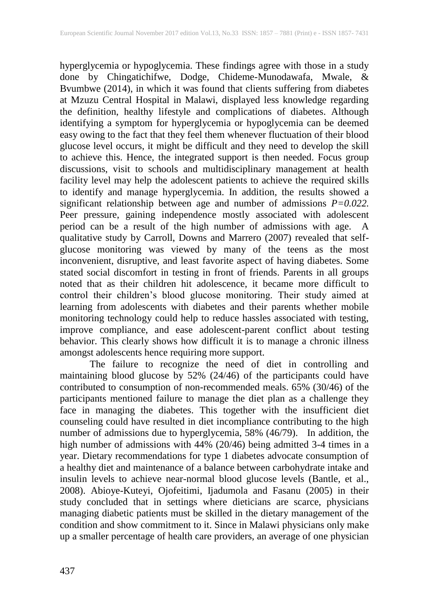hyperglycemia or hypoglycemia. These findings agree with those in a study done by Chingatichifwe, Dodge, Chideme-Munodawafa, Mwale, & Bvumbwe (2014), in which it was found that clients suffering from diabetes at Mzuzu Central Hospital in Malawi, displayed less knowledge regarding the definition, healthy lifestyle and complications of diabetes. Although identifying a symptom for hyperglycemia or hypoglycemia can be deemed easy owing to the fact that they feel them whenever fluctuation of their blood glucose level occurs, it might be difficult and they need to develop the skill to achieve this. Hence, the integrated support is then needed. Focus group discussions, visit to schools and multidisciplinary management at health facility level may help the adolescent patients to achieve the required skills to identify and manage hyperglycemia. In addition, the results showed a significant relationship between age and number of admissions *P=0.022.* Peer pressure, gaining independence mostly associated with adolescent period can be a result of the high number of admissions with age. A qualitative study by Carroll, Downs and Marrero (2007) revealed that selfglucose monitoring was viewed by many of the teens as the most inconvenient, disruptive, and least favorite aspect of having diabetes. Some stated social discomfort in testing in front of friends. Parents in all groups noted that as their children hit adolescence, it became more difficult to control their children's blood glucose monitoring. Their study aimed at learning from adolescents with diabetes and their parents whether mobile monitoring technology could help to reduce hassles associated with testing, improve compliance, and ease adolescent-parent conflict about testing behavior. This clearly shows how difficult it is to manage a chronic illness amongst adolescents hence requiring more support.

The failure to recognize the need of diet in controlling and maintaining blood glucose by 52% (24/46) of the participants could have contributed to consumption of non-recommended meals. 65% (30/46) of the participants mentioned failure to manage the diet plan as a challenge they face in managing the diabetes. This together with the insufficient diet counseling could have resulted in diet incompliance contributing to the high number of admissions due to hyperglycemia, 58% (46/79). In addition, the high number of admissions with 44% (20/46) being admitted 3-4 times in a year. Dietary recommendations for type 1 diabetes advocate consumption of a healthy diet and maintenance of a balance between carbohydrate intake and insulin levels to achieve near-normal blood glucose levels (Bantle, et al., 2008). Abioye-Kuteyi, Ojofeitimi, Ijadumola and Fasanu (2005) in their study concluded that in settings where dieticians are scarce, physicians managing diabetic patients must be skilled in the dietary management of the condition and show commitment to it. Since in Malawi physicians only make up a smaller percentage of health care providers, an average of one physician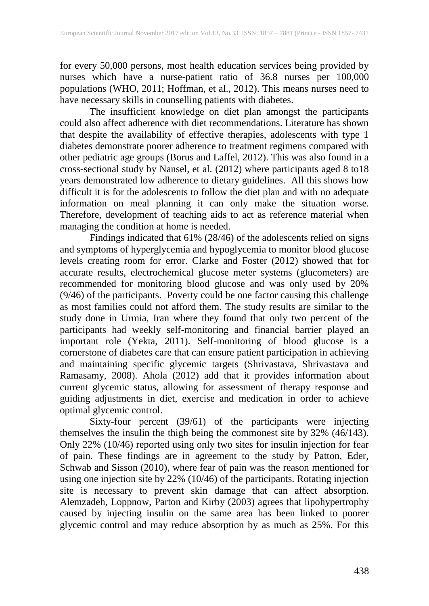for every 50,000 persons, most health education services being provided by nurses which have a nurse-patient ratio of 36.8 nurses per 100,000 populations (WHO, 2011; Hoffman, et al., 2012). This means nurses need to have necessary skills in counselling patients with diabetes.

The insufficient knowledge on diet plan amongst the participants could also affect adherence with diet recommendations. Literature has shown that despite the availability of effective therapies, adolescents with type 1 diabetes demonstrate poorer adherence to treatment regimens compared with other pediatric age groups (Borus and Laffel, 2012). This was also found in a cross-sectional study by Nansel, et al. (2012) where participants aged 8 to18 years demonstrated low adherence to dietary guidelines. All this shows how difficult it is for the adolescents to follow the diet plan and with no adequate information on meal planning it can only make the situation worse. Therefore, development of teaching aids to act as reference material when managing the condition at home is needed.

Findings indicated that 61% (28/46) of the adolescents relied on signs and symptoms of hyperglycemia and hypoglycemia to monitor blood glucose levels creating room for error. Clarke and Foster (2012) showed that for accurate results, electrochemical glucose meter systems (glucometers) are recommended for monitoring blood glucose and was only used by 20% (9/46) of the participants. Poverty could be one factor causing this challenge as most families could not afford them. The study results are similar to the study done in Urmia, Iran where they found that only two percent of the participants had weekly self-monitoring and financial barrier played an important role (Yekta, 2011). Self-monitoring of blood glucose is a cornerstone of diabetes care that can ensure patient participation in achieving and maintaining specific glycemic targets (Shrivastava, Shrivastava and Ramasamy, 2008). Ahola (2012) add that it provides information about current glycemic status, allowing for assessment of therapy response and guiding adjustments in diet, exercise and medication in order to achieve optimal glycemic control.

Sixty-four percent (39/61) of the participants were injecting themselves the insulin the thigh being the commonest site by 32% (46/143). Only 22% (10/46) reported using only two sites for insulin injection for fear of pain. These findings are in agreement to the study by Patton, Eder, Schwab and Sisson (2010), where fear of pain was the reason mentioned for using one injection site by 22% (10/46) of the participants. Rotating injection site is necessary to prevent skin damage that can affect absorption. Alemzadeh, Loppnow, Parton and Kirby (2003) agrees that lipohypertrophy caused by injecting insulin on the same area has been linked to poorer glycemic control and may reduce absorption by as much as 25%. For this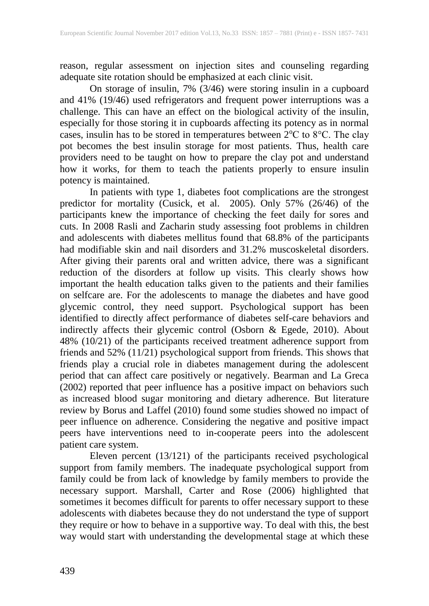reason, regular assessment on injection sites and counseling regarding adequate site rotation should be emphasized at each clinic visit.

On storage of insulin, 7% (3/46) were storing insulin in a cupboard and 41% (19/46) used refrigerators and frequent power interruptions was a challenge. This can have an effect on the biological activity of the insulin, especially for those storing it in cupboards affecting its potency as in normal cases, insulin has to be stored in temperatures between  $2^{\circ}$ C to  $8^{\circ}$ C. The clay pot becomes the best insulin storage for most patients. Thus, health care providers need to be taught on how to prepare the clay pot and understand how it works, for them to teach the patients properly to ensure insulin potency is maintained.

In patients with type 1, diabetes foot complications are the strongest predictor for mortality (Cusick, et al. 2005). Only 57% (26/46) of the participants knew the importance of checking the feet daily for sores and cuts. In 2008 Rasli and Zacharin study assessing foot problems in children and adolescents with diabetes mellitus found that 68.8% of the participants had modifiable skin and nail disorders and 31.2% muscoskeletal disorders. After giving their parents oral and written advice, there was a significant reduction of the disorders at follow up visits. This clearly shows how important the health education talks given to the patients and their families on selfcare are. For the adolescents to manage the diabetes and have good glycemic control, they need support. Psychological support has been identified to directly affect performance of diabetes self-care behaviors and indirectly affects their glycemic control (Osborn & Egede, 2010). About 48% (10/21) of the participants received treatment adherence support from friends and 52% (11/21) psychological support from friends. This shows that friends play a crucial role in diabetes management during the adolescent period that can affect care positively or negatively. Bearman and La Greca (2002) reported that peer influence has a positive impact on behaviors such as increased blood sugar monitoring and dietary adherence. But literature review by Borus and Laffel (2010) found some studies showed no impact of peer influence on adherence. Considering the negative and positive impact peers have interventions need to in-cooperate peers into the adolescent patient care system.

Eleven percent (13/121) of the participants received psychological support from family members. The inadequate psychological support from family could be from lack of knowledge by family members to provide the necessary support. Marshall, Carter and Rose (2006) highlighted that sometimes it becomes difficult for parents to offer necessary support to these adolescents with diabetes because they do not understand the type of support they require or how to behave in a supportive way. To deal with this, the best way would start with understanding the developmental stage at which these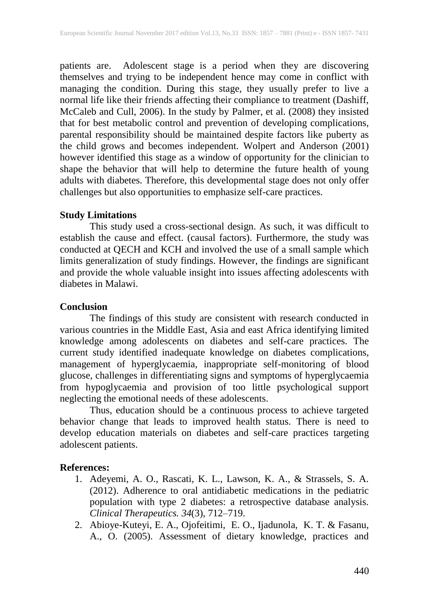patients are. Adolescent stage is a period when they are discovering themselves and trying to be independent hence may come in conflict with managing the condition. During this stage, they usually prefer to live a normal life like their friends affecting their compliance to treatment (Dashiff, McCaleb and Cull, 2006). In the study by Palmer, et al. (2008) they insisted that for best metabolic control and prevention of developing complications, parental responsibility should be maintained despite factors like puberty as the child grows and becomes independent. Wolpert and Anderson (2001) however identified this stage as a window of opportunity for the clinician to shape the behavior that will help to determine the future health of young adults with diabetes. Therefore, this developmental stage does not only offer challenges but also opportunities to emphasize self-care practices.

# **Study Limitations**

This study used a cross-sectional design. As such, it was difficult to establish the cause and effect. (causal factors). Furthermore, the study was conducted at QECH and KCH and involved the use of a small sample which limits generalization of study findings. However, the findings are significant and provide the whole valuable insight into issues affecting adolescents with diabetes in Malawi.

# **Conclusion**

The findings of this study are consistent with research conducted in various countries in the Middle East, Asia and east Africa identifying limited knowledge among adolescents on diabetes and self-care practices. The current study identified inadequate knowledge on diabetes complications, management of hyperglycaemia, inappropriate self-monitoring of blood glucose, challenges in differentiating signs and symptoms of hyperglycaemia from hypoglycaemia and provision of too little psychological support neglecting the emotional needs of these adolescents.

Thus, education should be a continuous process to achieve targeted behavior change that leads to improved health status. There is need to develop education materials on diabetes and self-care practices targeting adolescent patients.

# **References:**

- 1. Adeyemi, A. O., Rascati, K. L., Lawson, K. A., & Strassels, S. A. (2012). Adherence to oral antidiabetic medications in the pediatric population with type 2 diabetes: a retrospective database analysis. *Clinical Therapeutics. 34*(3), 712–719.
- 2. [Abioye-Kuteyi, E. A.](http://www.ncbi.nlm.nih.gov/pubmed?term=Abioye-Kuteyi%20EA%5BAuthor%5D&cauthor=true&cauthor_uid=15832645), [Ojofeitimi, E. O.](http://www.ncbi.nlm.nih.gov/pubmed?term=Ojofeitimi%20EO%5BAuthor%5D&cauthor=true&cauthor_uid=15832645), [Ijadunola, K. T.](http://www.ncbi.nlm.nih.gov/pubmed?term=Ijadunola%20KT%5BAuthor%5D&cauthor=true&cauthor_uid=15832645) & [Fasanu,](http://www.ncbi.nlm.nih.gov/pubmed?term=Fasanu%20AO%5BAuthor%5D&cauthor=true&cauthor_uid=15832645) [A., O.](http://www.ncbi.nlm.nih.gov/pubmed?term=Fasanu%20AO%5BAuthor%5D&cauthor=true&cauthor_uid=15832645) (2005). Assessment of dietary knowledge, practices and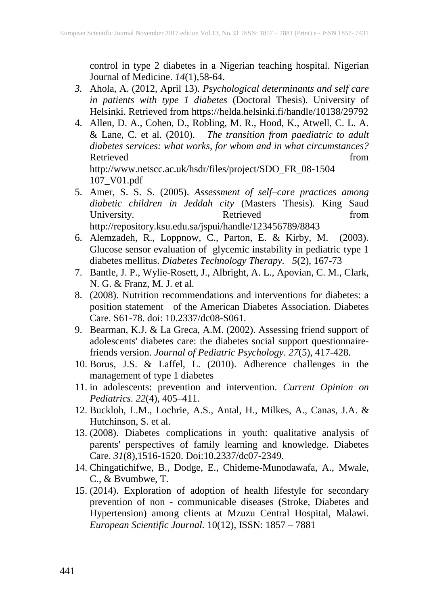control in type 2 diabetes in a Nigerian teaching hospital. [Nigerian](http://www.ncbi.nlm.nih.gov/pubmed/15832645) [Journal of Medicine.](http://www.ncbi.nlm.nih.gov/pubmed/15832645) *14*(1),58-64.

- *3.* Ahola, A. (2012, April 13). *Psychological determinants and self care in patients with type 1 diabetes* (Doctoral Thesis). University of Helsinki. Retrieved from https://helda.helsinki.fi/handle/10138/29792
- 4. Allen, D. A., Cohen, D., Robling, M. R., Hood, K., Atwell, C. L. A. & Lane, C. et al. (2010). *The transition from paediatric to adult diabetes services: what works, for whom and in what circumstances?* Retrieved from the settlement of the settlement of the settlement of the settlement of the settlement of the set http://www.netscc.ac.uk/hsdr/files/project/SDO\_FR\_08-1504 107\_V01.pdf
- 5. Amer, S. S. S. (2005). *Assessment of self–care practices among diabetic children in Jeddah city* (Masters Thesis). King Saud University. Retrieved from http://repository.ksu.edu.sa/jspui/handle/123456789/8843
- 6. Alemzadeh, R., Loppnow, C., Parton, E. & Kirby, M. (2003). Glucose sensor evaluation of glycemic instability in pediatric type 1 diabetes mellitus. *Diabetes Technology Therapy. 5*(2), 167-73
- 7. [Bantle, J. P.](http://www.ncbi.nlm.nih.gov/pubmed?term=Bantle%20JP%5BAuthor%5D&cauthor=true&cauthor_uid=18165339), [Wylie-Rosett, J.](http://www.ncbi.nlm.nih.gov/pubmed?term=Wylie-Rosett%20J%5BAuthor%5D&cauthor=true&cauthor_uid=18165339), [Albright, A. L.](http://www.ncbi.nlm.nih.gov/pubmed?term=Albright%20AL%5BAuthor%5D&cauthor=true&cauthor_uid=18165339), [Apovian, C. M.](http://www.ncbi.nlm.nih.gov/pubmed?term=Apovian%20CM%5BAuthor%5D&cauthor=true&cauthor_uid=18165339), [Clark,](http://www.ncbi.nlm.nih.gov/pubmed?term=Clark%20NG%5BAuthor%5D&cauthor=true&cauthor_uid=18165339) [N. G.](http://www.ncbi.nlm.nih.gov/pubmed?term=Clark%20NG%5BAuthor%5D&cauthor=true&cauthor_uid=18165339) & [Franz, M. J.](http://www.ncbi.nlm.nih.gov/pubmed?term=Franz%20MJ%5BAuthor%5D&cauthor=true&cauthor_uid=18165339) et al.
- 8. (2008). Nutrition recommendations and interventions for diabetes: a position statement of the American Diabetes Association. [Diabetes](http://www.ncbi.nlm.nih.gov/pubmed/18165339) [Care.](http://www.ncbi.nlm.nih.gov/pubmed/18165339) S61-78. doi: 10.2337/dc08-S061.
- 9. Bearman, K.J. & La Greca, A.M. (2002). Assessing friend support of adolescents' diabetes care: the diabetes social support questionnairefriends version. *Journal of Pediatric Psychology*. *27*(5), 417-428.
- 10. Borus, J.S. & Laffel, L. (2010). Adherence challenges in the management of type 1 diabetes
- 11. in adolescents: prevention and intervention. *Current Opinion on Pediatrics*. *22*(4), 405–411.
- 12. [Buckloh, L.M.](http://www.ncbi.nlm.nih.gov/pubmed?term=Buckloh%20LM%5BAuthor%5D&cauthor=true&cauthor_uid=18509210), [Lochrie,](http://www.ncbi.nlm.nih.gov/pubmed?term=Lochrie%20AS%5BAuthor%5D&cauthor=true&cauthor_uid=18509210) A.S., [Antal, H.](http://www.ncbi.nlm.nih.gov/pubmed?term=Antal%20H%5BAuthor%5D&cauthor=true&cauthor_uid=18509210), [Milkes, A.](http://www.ncbi.nlm.nih.gov/pubmed?term=Milkes%20A%5BAuthor%5D&cauthor=true&cauthor_uid=18509210), [Canas, J.A.](http://www.ncbi.nlm.nih.gov/pubmed?term=Canas%20JA%5BAuthor%5D&cauthor=true&cauthor_uid=18509210) & [Hutchinson, S.](http://www.ncbi.nlm.nih.gov/pubmed?term=Hutchinson%20S%5BAuthor%5D&cauthor=true&cauthor_uid=18509210) et al.
- 13. (2008). Diabetes complications in youth: qualitative analysis of parents' perspectives of family learning and knowledge*.* [Diabetes](http://www.ncbi.nlm.nih.gov/pubmed/18509210) [Care.](http://www.ncbi.nlm.nih.gov/pubmed/18509210) *31*(8),1516-1520. Doi:10.2337/dc07-2349.
- 14. Chingatichifwe, B., Dodge, E., Chideme-Munodawafa, A., Mwale, C., & Bvumbwe, T.
- 15. (2014). Exploration of adoption of health lifestyle for secondary prevention of non - communicable diseases (Stroke, Diabetes and Hypertension) among clients at Mzuzu Central Hospital, Malawi. *European Scientific Journal.* 10(12), ISSN: 1857 – 7881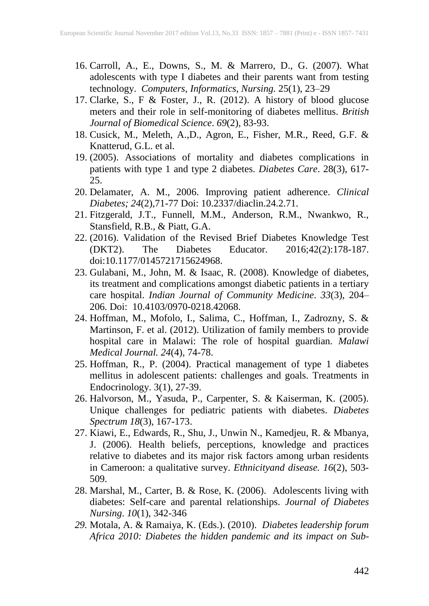- 16. Carroll, A., E., Downs, S., M. & Marrero, D., G. (2007). What adolescents with type I diabetes and their parents want from testing technology. *Computers, Informatics, Nursing.* 25(1), 23–29
- 17. Clarke, S., F & Foster, J., R. (2012). A history of blood glucose meters and their role in self-monitoring of diabetes mellitus. *British Journal of Biomedical Science*. *69*(2), 83-93.
- 18. Cusick, M., Meleth, A.,D., Agron, E., Fisher, M.R., Reed, G.F. & Knatterud, G.L. et al.
- 19. (2005). Associations of mortality and diabetes complications in patients with type 1 and type 2 diabetes. *Diabetes Care*. 28(3), 617- 25.
- 20. Delamater, A. M., 2006. Improving patient adherence. *Clinical Diabetes; 24*(2),71-77 Doi: 10.2337/diaclin.24.2.71.
- 21. Fitzgerald, J.T., Funnell, M.M., Anderson, R.M., Nwankwo, R., Stansfield, R.B., & Piatt, G.A.
- 22. (2016). Validation of the Revised Brief Diabetes Knowledge Test (DKT2). The Diabetes Educator. 2016;42(2):178-187. The Diabetes Educator. doi:10.1177/0145721715624968.
- 23. [Gulabani,](http://www.ncbi.nlm.nih.gov/pubmed/?term=Gulabani%20M%5Bauth%5D) [M., John,](http://www.ncbi.nlm.nih.gov/pubmed/?term=John%20M%5Bauth%5D) M. & [Isaac,](http://www.ncbi.nlm.nih.gov/pubmed/?term=Isaac%20R%5Bauth%5D) R. (2008). Knowledge of diabetes, its treatment and complications amongst diabetic patients in a tertiary care hospital. *Indian Journal of Community Medicine*. *33*(3), 204– 206. Doi: [10.4103/0970-0218.42068.](http://dx.doi.org/10.4103%2F0970-0218.42068)
- 24. Hoffman, M., Mofolo, I., Salima, C., Hoffman, I., Zadrozny, S. & Martinson, F. et al. (2012). Utilization of family members to provide hospital care in Malawi: The role of hospital guardian. *Malawi Medical Journal. 24*(4), 74-78.
- 25. Hoffman, R., P. (2004). Practical management of type 1 diabetes mellitus in adolescent patients: challenges and goals. [Treatments in](http://www.ncbi.nlm.nih.gov/pubmed/15743111)  [Endocrinology.](http://www.ncbi.nlm.nih.gov/pubmed/15743111) 3(1), 27-39.
- 26. Halvorson, M., Yasuda, P., Carpenter, S. & Kaiserman, K. (2005). Unique challenges for pediatric patients with diabetes. *Diabetes Spectrum 18*(3), 167-173.
- 27. Kiawi, E., Edwards, R., Shu, J., Unwin N., Kamedjeu, R. & Mbanya, J. (2006). Health beliefs, perceptions, knowledge and practices relative to diabetes and its major risk factors among urban residents in Cameroon: a qualitative survey. *Ethnicityand disease. 16*(2), 503- 509.
- 28. Marshal, M., Carter, B. & Rose, K. (2006). Adolescents living with diabetes: Self-care and parental relationships. *Journal of Diabetes Nursing*. *10*(1), 342-346
- *29.* Motala, A. & Ramaiya, K. (Eds.). (2010). *Diabetes leadership forum Africa 2010: Diabetes the hidden pandemic and its impact on Sub-*